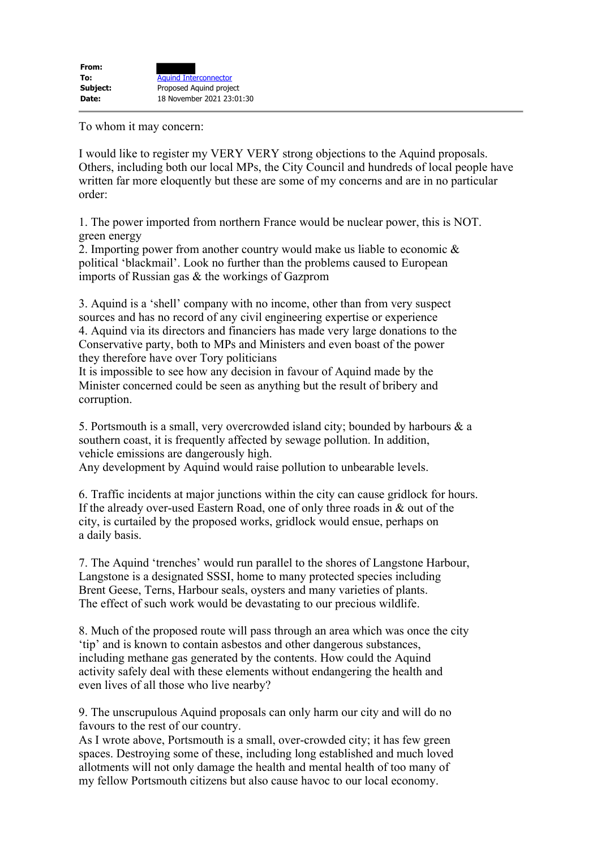To whom it may concern:

I would like to register my VERY VERY strong objections to the Aquind proposals. Others, including both our local MPs, the City Council and hundreds of local people have written far more eloquently but these are some of my concerns and are in no particular order:

1. The power imported from northern France would be nuclear power, this is NOT. green energy

2. Importing power from another country would make us liable to economic & political 'blackmail'. Look no further than the problems caused to European imports of Russian gas & the workings of Gazprom

3. Aquind is a 'shell' company with no income, other than from very suspect sources and has no record of any civil engineering expertise or experience 4. Aquind via its directors and financiers has made very large donations to the Conservative party, both to MPs and Ministers and even boast of the power they therefore have over Tory politicians

It is impossible to see how any decision in favour of Aquind made by the Minister concerned could be seen as anything but the result of bribery and corruption.

5. Portsmouth is a small, very overcrowded island city; bounded by harbours & a southern coast, it is frequently affected by sewage pollution. In addition, vehicle emissions are dangerously high.

Any development by Aquind would raise pollution to unbearable levels.

6. Traffic incidents at major junctions within the city can cause gridlock for hours. If the already over-used Eastern Road, one of only three roads in & out of the city, is curtailed by the proposed works, gridlock would ensue, perhaps on a daily basis.

7. The Aquind 'trenches' would run parallel to the shores of Langstone Harbour, Langstone is a designated SSSI, home to many protected species including Brent Geese, Terns, Harbour seals, oysters and many varieties of plants. The effect of such work would be devastating to our precious wildlife.

8. Much of the proposed route will pass through an area which was once the city 'tip' and is known to contain asbestos and other dangerous substances, including methane gas generated by the contents. How could the Aquind activity safely deal with these elements without endangering the health and even lives of all those who live nearby?

9. The unscrupulous Aquind proposals can only harm our city and will do no favours to the rest of our country.

As I wrote above, Portsmouth is a small, over-crowded city; it has few green spaces. Destroying some of these, including long established and much loved allotments will not only damage the health and mental health of too many of my fellow Portsmouth citizens but also cause havoc to our local economy.